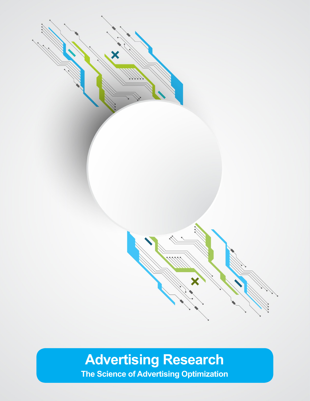

# **Advertising Research**

**The Science of Advertising Optimization**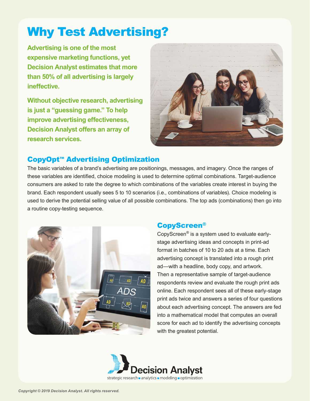# Why Test Advertising?

**Advertising is one of the most expensive marketing functions, yet Decision Analyst estimates that more than 50% of all advertising is largely ineffective.**

**Without objective research, advertising is just a "guessing game." To help improve advertising effectiveness, Decision Analyst offers an array of research services.**



### CopyOpt**™** Advertising Optimization

The basic variables of a brand's advertising are positionings, messages, and imagery. Once the ranges of these variables are identified, choice modeling is used to determine optimal combinations. Target-audience consumers are asked to rate the degree to which combinations of the variables create interest in buying the brand. Each respondent usually sees 5 to 10 scenarios (i.e., combinations of variables). Choice modeling is used to derive the potential selling value of all possible combinations. The top ads (combinations) then go into a routine copy-testing sequence.



# CopyScreen®

CopyScreen® is a system used to evaluate earlystage advertising ideas and concepts in print-ad format in batches of 10 to 20 ads at a time. Each advertising concept is translated into a rough print ad—with a headline, body copy, and artwork. Then a representative sample of target-audience respondents review and evaluate the rough print ads online. Each respondent sees all of these early-stage print ads twice and answers a series of four questions about each advertising concept. The answers are fed into a mathematical model that computes an overall score for each ad to identify the advertising concepts with the greatest potential.

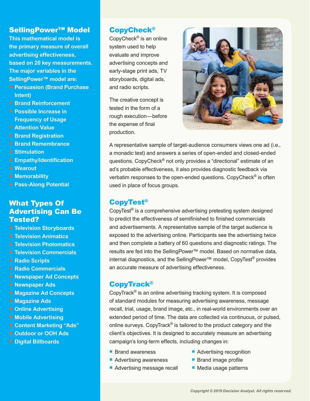#### SellingPower™ Model

**This mathematical model is the primary measure of overall advertising effectiveness, based on 20 key measurements. The major variables in the SellingPower™ model are:**

- **Persuasion (Brand Purchase Intent)**
- Brand Reinforcement
- **Possible Increase in Frequency of Usage**
- **F** Attention Value
- **Brand Registration**
- **Brand Remembrance**
- **E** Stimulation
- **Empathy/Identification**
- Wearout
- **Memorability**
- **Pass-Along Potential**

#### What Types Of Advertising Can Be Tested?

- **Television Storyboards**
- **F** Television Animatics
- **Television Photomatics**
- **F** Television Commercials
- Radio Scripts
- **F** Radio Commercials
- **Newspaper Ad Concepts**
- **Newspaper Ads**
- **Magazine Ad Concepts**
- **Magazine Ads**
- **<sup>■</sup>** Online Advertising
- **Mobile Advertising**
- **Content Marketing "Ads"**
- **Outdoor or OOH Ads**
- **Digital Billboards**

#### CopyCheck®

CopyCheck® is an online system used to help evaluate and improve advertising concepts and early-stage print ads, TV storyboards, digital ads, and radio scripts.

The creative concept is tested in the form of a rough execution—before the expense of final production.



A representative sample of target-audience consumers views one ad (i.e., a monadic test) and answers a series of open-ended and closed-ended questions. CopyCheck® not only provides a "directional" estimate of an ad's probable effectiveness, it also provides diagnostic feedback via verbatim responses to the open-ended questions. CopyCheck<sup>®</sup> is often used in place of focus groups.

#### CopyTest®

CopyTest® is a comprehensive advertising pretesting system designed to predict the effectiveness of semifinished to finished commercials and advertisements. A representative sample of the target audience is exposed to the advertising online. Participants see the advertising twice and then complete a battery of 60 questions and diagnostic ratings. The results are fed into the SellingPower™ model. Based on normative data, internal diagnostics, and the SellingPower™ model, CopyTest® provides an accurate measure of advertising effectiveness.

#### CopyTrack®

CopyTrack® is an online advertising tracking system. It is composed of standard modules for measuring advertising awareness, message recall, trial, usage, brand image, etc., in real-world environments over an extended period of time. The data are collected via continuous, or pulsed, online surveys. CopyTrack® is tailored to the product category and the client's objectives. It is designed to accurately measure an advertising campaign's long-term effects, including changes in:

- Brand awareness
- Advertising awareness
- Advertising message recall
- **Advertising recognition**
- **Brand image profile**
- Media usage patterns